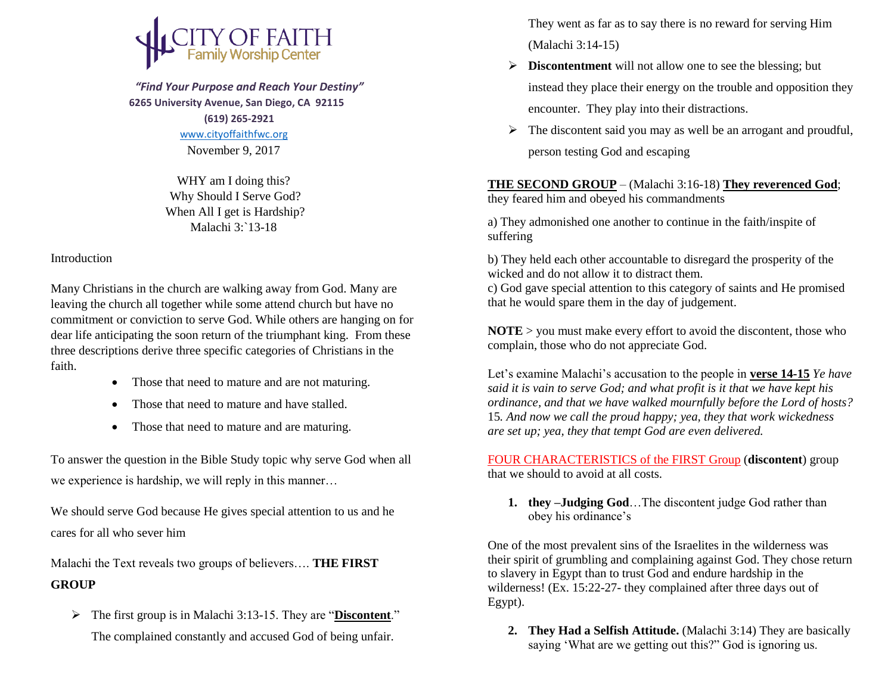

 *"Find Your Purpose and Reach Your Destiny"*  **6265 University Avenue, San Diego, CA 92115 (619) 265-2921** [www.cityoffaithfwc.org](http://www.cityoffaithfwc.org/) November 9, 2017

> WHY am I doing this? Why Should I Serve God? When All I get is Hardship? Malachi 3<sup>2</sup>13-18

#### Introduction

Many Christians in the church are walking away from God. Many are leaving the church all together while some attend church but have no commitment or conviction to serve God. While others are hanging on for dear life anticipating the soon return of the triumphant king. From these three descriptions derive three specific categories of Christians in the faith.

- Those that need to mature and are not maturing.
- Those that need to mature and have stalled.
- Those that need to mature and are maturing.

To answer the question in the Bible Study topic why serve God when all we experience is hardship, we will reply in this manner…

We should serve God because He gives special attention to us and he cares for all who sever him

Malachi the Text reveals two groups of believers…. **THE FIRST GROUP**

 The first group is in Malachi 3:13-15. They are "**Discontent**." The complained constantly and accused God of being unfair.

They went as far as to say there is no reward for serving Him (Malachi 3:14-15)

- **Discontentment** will not allow one to see the blessing; but instead they place their energy on the trouble and opposition they encounter. They play into their distractions.
- $\triangleright$  The discontent said you may as well be an arrogant and proudful, person testing God and escaping

**THE SECOND GROUP** – (Malachi 3:16-18) **They reverenced God**; they feared him and obeyed his commandments

a) They admonished one another to continue in the faith/inspite of suffering

b) They held each other accountable to disregard the prosperity of the wicked and do not allow it to distract them.

c) God gave special attention to this category of saints and He promised that he would spare them in the day of judgement.

**NOTE** > you must make every effort to avoid the discontent, those who complain, those who do not appreciate God.

Let's examine Malachi's accusation to the people in **verse 14-15** *Ye have said it is vain to serve God; and what profit is it that we have kept his ordinance, and that we have walked mournfully before the Lord of hosts?* 15*. And now we call the proud happy; yea, they that work wickedness are set up; yea, they that tempt God are even delivered.*

FOUR CHARACTERISTICS of the FIRST Group (**discontent**) group that we should to avoid at all costs.

**1. they –Judging God**…The discontent judge God rather than obey his ordinance's

One of the most prevalent sins of the Israelites in the wilderness was their spirit of grumbling and complaining against God. They chose return to slavery in Egypt than to trust God and endure hardship in the wilderness! (Ex. 15:22-27- they complained after three days out of Egypt).

**2. They Had a Selfish Attitude.** (Malachi 3:14) They are basically saying 'What are we getting out this?" God is ignoring us.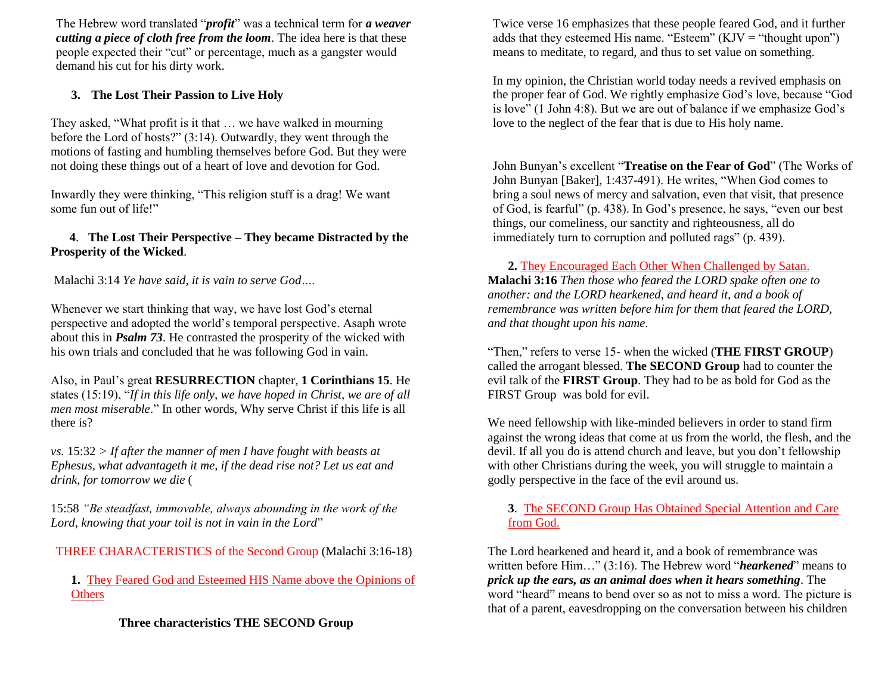The Hebrew word translated "*profit*" was a technical term for *a weaver cutting a piece of cloth free from the loom*. The idea here is that these people expected their "cut" or percentage, much as a gangster would demand his cut for his dirty work.

# **3. The Lost Their Passion to Live Holy**

They asked, "What profit is it that … we have walked in mourning before the Lord of hosts?" (3:14). Outwardly, they went through the motions of fasting and humbling themselves before God. But they were not doing these things out of a heart of love and devotion for God.

Inwardly they were thinking, "This religion stuff is a drag! We want some fun out of life!"

#### **4**. **The Lost Their Perspective – They became Distracted by the Prosperity of the Wicked**.

Malachi 3:14 *Ye have said, it is vain to serve God….*

Whenever we start thinking that way, we have lost God's eternal perspective and adopted the world's temporal perspective. Asaph wrote about this in *Psalm 73*. He contrasted the prosperity of the wicked with his own trials and concluded that he was following God in vain.

Also, in Paul's great **RESURRECTION** chapter, **1 Corinthians 15**. He states (15:19), "*If in this life only, we have hoped in Christ, we are of all men most miserable*." In other words, Why serve Christ if this life is all there is?

*vs.* 15:32 *> If after the manner of men I have fought with beasts at Ephesus, what advantageth it me, if the dead rise not? Let us eat and drink, for tomorrow we die* (

15:58 *"Be steadfast, immovable, always abounding in the work of the Lord, knowing that your toil is not in vain in the Lord*"

THREE CHARACTERISTICS of the Second Group (Malachi 3:16-18)

**1.** They Feared God and Esteemed HIS Name above the Opinions of **Others** 

**Three characteristics THE SECOND Group**

Twice verse 16 emphasizes that these people feared God, and it further adds that they esteemed His name. "Esteem"  $(KJV = "thought upon")$ means to meditate, to regard, and thus to set value on something.

In my opinion, the Christian world today needs a revived emphasis on the proper fear of God. We rightly emphasize God's love, because "God is love" (1 John 4:8). But we are out of balance if we emphasize God's love to the neglect of the fear that is due to His holy name.

John Bunyan's excellent "**Treatise on the Fear of God**" (The Works of John Bunyan [Baker], 1:437-491). He writes, "When God comes to bring a soul news of mercy and salvation, even that visit, that presence of God, is fearful" (p. 438). In God's presence, he says, "even our best things, our comeliness, our sanctity and righteousness, all do immediately turn to corruption and polluted rags" (p. 439).

**2.** They Encouraged Each Other When Challenged by Satan. **Malachi 3:16** *Then those who feared the LORD spake often one to another: and the LORD hearkened, and heard it, and a book of remembrance was written before him for them that feared the LORD, and that thought upon his name.*

"Then," refers to verse 15- when the wicked (**THE FIRST GROUP**) called the arrogant blessed. **The SECOND Group** had to counter the evil talk of the **FIRST Group**. They had to be as bold for God as the FIRST Group was bold for evil.

We need fellowship with like-minded believers in order to stand firm against the wrong ideas that come at us from the world, the flesh, and the devil. If all you do is attend church and leave, but you don't fellowship with other Christians during the week, you will struggle to maintain a godly perspective in the face of the evil around us.

## **3**. The SECOND Group Has Obtained Special Attention and Care from God.

The Lord hearkened and heard it, and a book of remembrance was written before Him…" (3:16). The Hebrew word "*hearkened*" means to *prick up the ears, as an animal does when it hears something*. The word "heard" means to bend over so as not to miss a word. The picture is that of a parent, eavesdropping on the conversation between his children